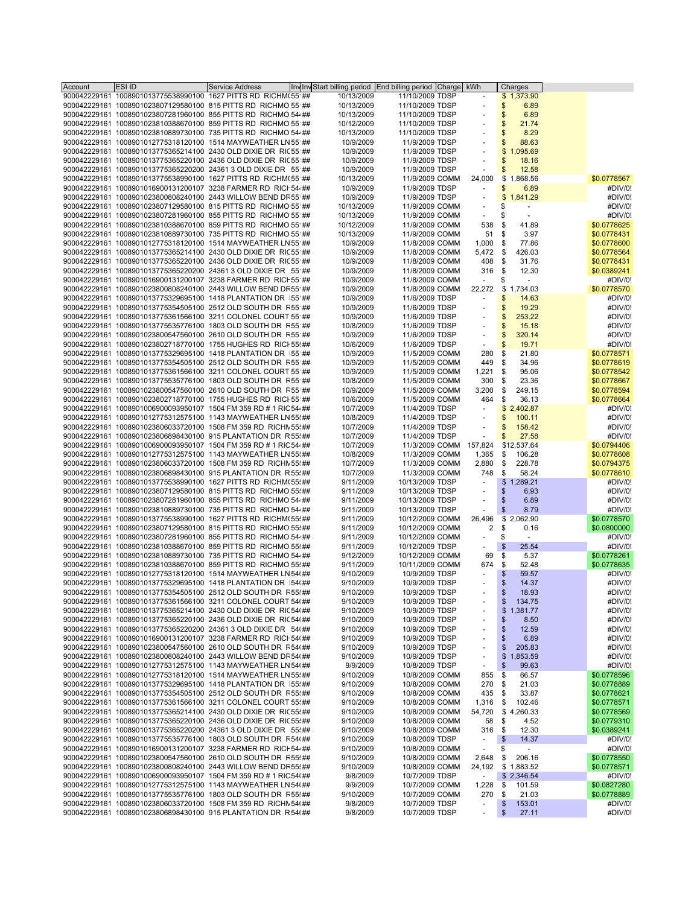| Account | <b>ESI ID</b>                                                                                                                 | <b>Service Address</b> | Invital Start billing period End billing period Charge |                        | kWh                      | Charges                        |             |
|---------|-------------------------------------------------------------------------------------------------------------------------------|------------------------|--------------------------------------------------------|------------------------|--------------------------|--------------------------------|-------------|
|         | 900042229161 1008901013775538990100 1627 PITTS RD RICHM(55 ##                                                                 |                        | 10/13/2009                                             | 11/10/2009 TDSP        |                          | \$1,373.90                     |             |
|         | 900042229161 1008901023807129580100 815 PITTS RD RICHMO 55 ##                                                                 |                        | 10/13/2009                                             | 11/10/2009 TDSP        | $\overline{\phantom{a}}$ | 6.89<br>\$                     |             |
|         | 900042229161 1008901023807281960100 855 PITTS RD RICHMO 54 ##                                                                 |                        | 10/13/2009                                             | 11/10/2009 TDSP        |                          | 6.89<br>\$                     |             |
|         | 900042229161 1008901023810388670100 859 PITTS RD RICHMO 55 ##                                                                 |                        | 10/12/2009                                             | 11/10/2009 TDSP        |                          | 21.74<br>\$                    |             |
|         | 900042229161 1008901023810889730100 735 PITTS RD RICHMO 54 ##                                                                 |                        | 10/13/2009                                             | 11/10/2009 TDSP        | $\sim$                   | 8.29<br>\$                     |             |
|         | 900042229161 1008901012775318120100 1514 MAYWEATHER LN 55 ##                                                                  |                        |                                                        |                        |                          |                                |             |
|         |                                                                                                                               |                        | 10/9/2009                                              | 11/9/2009 TDSP         |                          | \$<br>88.63                    |             |
|         | 900042229161 1008901013775365214100 2430 OLD DIXIE DR RIC 55 ##                                                               |                        | 10/9/2009                                              | 11/9/2009 TDSP         | ÷,                       | 1,095.69<br>\$                 |             |
|         | 900042229161 1008901013775365220100 2436 OLD DIXIE DR RIC 55 ##                                                               |                        | 10/9/2009                                              | 11/9/2009 TDSP         | $\overline{\phantom{a}}$ | \$<br>18.16                    |             |
|         | 900042229161 1008901013775365220200 24361 3 OLD DIXIE DR 55 ##                                                                |                        | 10/9/2009                                              | 11/9/2009 TDSP         | $\overline{a}$           | 12.58<br>\$                    |             |
|         | 900042229161 1008901013775538990100 1627 PITTS RD RICHM(55 ##                                                                 |                        | 10/13/2009                                             | 11/9/2009 COMM         | 24,000                   | \$<br>1,868.56                 | \$0.0778567 |
|         | 900042229161 1008901016900131200107 3238 FARMER RD RICH 544##                                                                 |                        | 10/9/2009                                              | 11/9/2009 TDSP         | $\overline{\phantom{a}}$ | \$<br>6.89                     | #DIV/0!     |
|         | 900042229161 1008901023800808240100 2443 WILLOW BEND DR 55 ##                                                                 |                        | 10/9/2009                                              | 11/9/2009 TDSP         |                          | \$<br>1,841.29                 | #DIV/0!     |
|         | 900042229161 1008901023807129580100 815 PITTS RD RICHMO 55 ##                                                                 |                        | 10/13/2009                                             | 11/9/2009 COMM         |                          | \$<br>$\blacksquare$           | #DIV/0!     |
|         | 900042229161 1008901023807281960100 855 PITTS RD RICHMO 55 ##                                                                 |                        | 10/13/2009                                             | 11/9/2009 COMM         | $\overline{\phantom{a}}$ | \$<br>$\overline{\phantom{a}}$ | #DIV/0!     |
|         | 900042229161 1008901023810388670100 859 PITTS RD RICHMO 55 ##                                                                 |                        | 10/12/2009                                             | 11/9/2009 COMM         | 538                      | \$<br>41.89                    | \$0.0778625 |
|         | 900042229161 1008901023810889730100 735 PITTS RD RICHMO 55 ##                                                                 |                        | 10/13/2009                                             | 11/9/2009 COMM         | 51                       | \$<br>3.97                     | \$0.0778431 |
|         | 900042229161 1008901012775318120100 1514 MAYWEATHER LN 55 ##                                                                  |                        | 10/9/2009                                              | 11/8/2009 COMM         | 1,000                    | \$<br>77.86                    | \$0.0778600 |
|         | 900042229161 1008901013775365214100 2430 OLD DIXIE DR RIC 55 ##                                                               |                        | 10/9/2009                                              | 11/8/2009 COMM         | 5,472 \$                 | 426.03                         | \$0.0778564 |
|         | 900042229161 1008901013775365220100 2436 OLD DIXIE DR RIC 55 ##                                                               |                        | 10/9/2009                                              | 11/8/2009 COMM         | 408                      | -\$<br>31.76                   | \$0.0778431 |
|         |                                                                                                                               |                        |                                                        |                        |                          |                                |             |
|         | 900042229161 1008901013775365220200 24361 3 OLD DIXIE DR 55 ##                                                                |                        | 10/9/2009                                              | 11/8/2009 COMM         | 316                      | \$<br>12.30                    | \$0.0389241 |
|         | 900042229161 1008901016900131200107 3238 FARMER RD RICH 55 ##                                                                 |                        | 10/9/2009                                              | 11/8/2009 COMM         | $\sim$                   | \$                             | #DIV/0!     |
|         | 900042229161 1008901023800808240100 2443 WILLOW BEND DR 55 ##                                                                 |                        | 10/9/2009                                              | 11/8/2009 COMM         | 22,272                   | \$1,734.03                     | \$0.0778570 |
|         | 900042229161 1008901013775329695100 1418 PLANTATION DR 155 ##                                                                 |                        | 10/9/2009                                              | 11/6/2009 TDSP         | $\overline{\phantom{a}}$ | \$<br>14.63                    | #DIV/0!     |
|         | 900042229161 1008901013775354505100 2512 OLD SOUTH DR R55 ##                                                                  |                        | 10/9/2009                                              | 11/6/2009 TDSP         |                          | \$<br>19.29                    | #DIV/0!     |
|         | 900042229161 1008901013775361566100 3211 COLONEL COURT 55 ##                                                                  |                        | 10/9/2009                                              | 11/6/2009 TDSP         | $\overline{\phantom{a}}$ | \$<br>253.22                   | #DIV/0!     |
|         | 900042229161 1008901013775535776100 1803 OLD SOUTH DR F55 ##                                                                  |                        | 10/8/2009                                              | 11/6/2009 TDSP         |                          | \$<br>15.18                    | #DIV/0!     |
|         | 900042229161 1008901023800547560100 2610 OLD SOUTH DR R55 ##                                                                  |                        | 10/9/2009                                              | 11/6/2009 TDSP         | $\sim$                   | 320.14<br>\$                   | #DIV/0!     |
|         | 900042229161 1008901023802718770100 1755 HUGHES RD RICI 55! ##                                                                |                        | 10/6/2009                                              | 11/6/2009 TDSP         | $\blacksquare$           | \$<br>19.71                    | #DIV/0!     |
|         | 900042229161 1008901013775329695100 1418 PLANTATION DR 155 ##                                                                 |                        | 10/9/2009                                              | 11/5/2009 COMM         | 280                      | \$<br>21.80                    | \$0.0778571 |
|         | 900042229161 1008901013775354505100 2512 OLD SOUTH DR R55 ##                                                                  |                        | 10/9/2009                                              | 11/5/2009 COMM         | 449                      | \$<br>34.96                    | \$0.0778619 |
|         | 900042229161 1008901013775361566100 3211 COLONEL COURT 55 ##                                                                  |                        | 10/9/2009                                              | 11/5/2009 COMM         | 1,221                    | \$<br>95.06                    | \$0.0778542 |
|         | 900042229161 1008901013775535776100 1803 OLD SOUTH DR R55 ##                                                                  |                        | 10/8/2009                                              | 11/5/2009 COMM         | 300                      | \$<br>23.36                    | \$0.0778667 |
|         | 900042229161 1008901023800547560100 2610 OLD SOUTH DR F55 ##                                                                  |                        | 10/9/2009                                              | 11/5/2009 COMM         | 3,200                    | \$<br>249.15                   | \$0.0778594 |
|         | 900042229161 1008901023802718770100 1755 HUGHES RD RICI 55 ##                                                                 |                        | 10/6/2009                                              | 11/5/2009 COMM         | 464                      | \$<br>36.13                    | \$0.0778664 |
|         | 900042229161 1008901006900093950107 1504 FM 359 RD # 1 RIC 54 ##                                                              |                        | 10/7/2009                                              | 11/4/2009 TDSP         |                          | \$2,402.87                     | #DIV/0!     |
|         |                                                                                                                               |                        |                                                        |                        |                          |                                |             |
|         | 900042229161 1008901012775312575100 1143 MAYWEATHER LN 55! ##                                                                 |                        | 10/8/2009                                              | 11/4/2009 TDSP         | $\blacksquare$           | \$<br>100.11                   | #DIV/0!     |
|         | 900042229161 1008901023806033720100 1508 FM 359 RD RICHN 55! ##                                                               |                        | 10/7/2009                                              | 11/4/2009 TDSP         | $\overline{\phantom{a}}$ | \$<br>158.42                   | #DIV/0!     |
|         | 900042229161 1008901023806898430100 915 PLANTATION DR R 55! ##                                                                |                        | 10/7/2009                                              | 11/4/2009 TDSP         | ÷,                       | 27.58<br>\$                    | #DIV/0!     |
|         | 900042229161 1008901006900093950107 1504 FM 359 RD # 1 RIC 54 ##                                                              |                        | 10/7/2009                                              | 11/3/2009 COMM 157,824 |                          | \$12,537.64                    | \$0.0794406 |
|         | 900042229161 1008901012775312575100 1143 MAYWEATHER LN 55! ##                                                                 |                        | 10/8/2009                                              | 11/3/2009 COMM         | 1,365                    | \$<br>106.28                   | \$0.0778608 |
|         | 900042229161 1008901023806033720100 1508 FM 359 RD RICHN 55! ##                                                               |                        | 10/7/2009                                              | 11/3/2009 COMM         | 2,880                    | \$<br>228.78                   | \$0.0794375 |
|         | 900042229161 1008901023806898430100 915 PLANTATION DR R 55! ##                                                                |                        | 10/7/2009                                              | 11/3/2009 COMM         | 748                      | \$<br>58.24                    | \$0.0778610 |
|         | 900042229161 1008901013775538990100 1627 PITTS RD RICHM(55!##                                                                 |                        | 9/11/2009                                              | 10/13/2009 TDSP        | $\overline{\phantom{a}}$ | \$1,289.21                     | #DIV/0!     |
|         | 900042229161 1008901023807129580100 815 PITTS RD RICHMO 55! ##                                                                |                        | 9/11/2009                                              | 10/13/2009 TDSP        |                          | \$<br>6.93                     | #DIV/0!     |
|         | 900042229161 1008901023807281960100 855 PITTS RD RICHMO 54 ##                                                                 |                        | 9/11/2009                                              | 10/13/2009 TDSP        | ÷                        | \$<br>6.89                     | #DIV/0!     |
|         | 900042229161 1008901023810889730100 735 PITTS RD RICHMO 54 ##                                                                 |                        | 9/11/2009                                              | 10/13/2009 TDSP        | $\blacksquare$           | \$<br>8.79                     | #DIV/0!     |
|         | 900042229161 1008901013775538990100 1627 PITTS RD RICHM(55!##                                                                 |                        | 9/11/2009                                              | 10/12/2009 COMM        | 26,496                   | \$2,062.90                     | \$0.0778570 |
|         | 900042229161 1008901023807129580100 815 PITTS RD RICHMO 55! ##                                                                |                        | 9/11/2009                                              | 10/12/2009 COMM        | 2                        | \$<br>0.16                     | \$0.0800000 |
|         | 900042229161 1008901023807281960100 855 PITTS RD RICHMO 54 ##                                                                 |                        | 9/11/2009                                              | 10/12/2009 COMM        | $\overline{\phantom{a}}$ | \$<br>$\sim$                   | #DIV/0!     |
|         | 900042229161 1008901023810388670100 859 PITTS RD RICHMO 55! ##                                                                |                        | 9/11/2009                                              | 10/12/2009 TDSP        |                          | \$<br>25.54                    | #DIV/0!     |
|         | 900042229161 1008901023810889730100 735 PITTS RD RICHMO 54 ##                                                                 |                        | 9/12/2009                                              | 10/12/2009 COMM        | 69                       | \$<br>5.37                     | \$0.0778261 |
|         | 900042229161 1008901023810388670100 859 PITTS RD RICHMO 55! ##                                                                |                        | 9/11/2009                                              | 10/11/2009 COMM        | 674                      | \$<br>52.48                    | \$0.0778635 |
|         | 900042229161 1008901012775318120100 1514 MAYWEATHER LN 54(##                                                                  |                        | 9/10/2009                                              | 10/9/2009 TDSP         |                          | \$<br>59.57                    | #DIV/0!     |
|         | 900042229161 1008901013775329695100 1418 PLANTATION DR 154(##                                                                 |                        | 9/10/2009                                              | 10/9/2009 TDSP         | $\blacksquare$           | \$<br>14.37                    | #DIV/0!     |
|         |                                                                                                                               |                        |                                                        |                        |                          |                                |             |
|         | 900042229161 1008901013775354505100 2512 OLD SOUTH DR R55! ##<br>900042229161_1008901013775361566100_3211_COLONEL COURT 54(## |                        | 9/10/2009                                              | 10/9/2009 TDSP         |                          | \$<br>18.93                    | #DIV/0!     |
|         |                                                                                                                               |                        | 9/10/2009                                              | 10/9/2009 TDSP         |                          | \$<br>134.75                   | #DIV/0!     |
|         | 900042229161 1008901013775365214100 2430 OLD DIXIE DR RIC 54(##                                                               |                        | 9/10/2009                                              | 10/9/2009 TDSP         |                          | \$1,381.77                     | #DIV/0!     |
|         | 900042229161 1008901013775365220100 2436 OLD DIXIE DR RIC54(##                                                                |                        | 9/10/2009                                              | 10/9/2009 TDSP         |                          | \$<br>8.50                     | #DIV/0!     |
|         | 900042229161 1008901013775365220200 24361 3 OLD DIXIE DR 54(##                                                                |                        | 9/10/2009                                              | 10/9/2009 TDSP         |                          | \$<br>12.59                    | #DIV/0!     |
|         | 900042229161 1008901016900131200107 3238 FARMER RD RICH 54(##                                                                 |                        | 9/10/2009                                              | 10/9/2009 TDSP         |                          | \$<br>6.89                     | #DIV/0!     |
|         | 900042229161 1008901023800547560100 2610 OLD SOUTH DR R54(##                                                                  |                        | 9/10/2009                                              | 10/9/2009 TDSP         | $\overline{\phantom{a}}$ | \$<br>205.83                   | #DIV/0!     |
|         | 900042229161 1008901023800808240100 2443 WILLOW BEND DR 54(##                                                                 |                        | 9/10/2009                                              | 10/9/2009 TDSP         | $\overline{\phantom{a}}$ | \$<br>1,853.59                 | #DIV/0!     |
|         | 900042229161 1008901012775312575100 1143 MAYWEATHER LN 54(##                                                                  |                        | 9/9/2009                                               | 10/8/2009 TDSP         | ÷,                       | \$<br>99.63                    | #DIV/0!     |
|         | 900042229161 1008901012775318120100 1514 MAYWEATHER LN 55! ##                                                                 |                        | 9/10/2009                                              | 10/8/2009 COMM         | 855                      | \$<br>66.57                    | \$0.0778596 |
|         | 900042229161 1008901013775329695100 1418 PLANTATION DR 155! ##                                                                |                        | 9/10/2009                                              | 10/8/2009 COMM         | 270                      | \$<br>21.03                    | \$0.0778889 |
|         | 900042229161 1008901013775354505100 2512 OLD SOUTH DR F55! ##                                                                 |                        | 9/10/2009                                              | 10/8/2009 COMM         | 435                      | \$<br>33.87                    | \$0.0778621 |
|         | 900042229161_1008901013775361566100_3211_COLONEL_COURT 55! ##                                                                 |                        | 9/10/2009                                              | 10/8/2009 COMM         | 1,316                    | \$<br>102.46                   | \$0.0778571 |
|         | 900042229161 1008901013775365214100 2430 OLD DIXIE DR RIC 55! ##                                                              |                        | 9/10/2009                                              | 10/8/2009 COMM         | 54,720                   | \$4,260.33                     | \$0.0778569 |
|         | 900042229161 1008901013775365220100 2436 OLD DIXIE DR RIC 55! ##                                                              |                        | 9/10/2009                                              | 10/8/2009 COMM         | 58                       | \$<br>4.52                     | \$0.0779310 |
|         | 900042229161 1008901013775365220200 24361 3 OLD DIXIE DR 55! ##                                                               |                        | 9/10/2009                                              | 10/8/2009 COMM         | 316                      | \$<br>12.30                    | \$0.0389241 |
|         | 900042229161 1008901013775535776100 1803 OLD SOUTH DR F54(##                                                                  |                        | 9/10/2009                                              | 10/8/2009 TDSP         | $\overline{\phantom{a}}$ | \$<br>14.37                    | #DIV/0!     |
|         | 900042229161 1008901016900131200107 3238 FARMER RD RICH 544 ##                                                                |                        | 9/10/2009                                              | 10/8/2009 COMM         | $\overline{\phantom{a}}$ | \$<br>$\blacksquare$           | #DIV/0!     |
|         | 900042229161 1008901023800547560100 2610 OLD SOUTH DR R55! ##                                                                 |                        |                                                        |                        |                          | \$<br>206.16                   |             |
|         |                                                                                                                               |                        | 9/10/2009                                              | 10/8/2009 COMM         | 2,648                    |                                | \$0.0778550 |
|         | 900042229161 1008901023800808240100 2443 WILLOW BEND DR 55! ##                                                                |                        | 9/10/2009                                              | 10/8/2009 COMM         |                          | 24,192 \$ 1,883.52             | \$0.0778571 |
|         | 900042229161 1008901006900093950107 1504 FM 359 RD # 1 RIC 54(##                                                              |                        | 9/8/2009                                               | 10/7/2009 TDSP         | $\overline{\phantom{a}}$ | \$2,346.54                     | #DIV/0!     |
|         | 900042229161 1008901012775312575100 1143 MAYWEATHER LN 54(##                                                                  |                        | 9/9/2009                                               | 10/7/2009 COMM         | 1,228                    | \$<br>101.59                   | \$0.0827280 |
|         | 900042229161 1008901013775535776100 1803 OLD SOUTH DR R55! ##                                                                 |                        | 9/10/2009                                              | 10/7/2009 COMM         | 270                      | \$<br>21.03                    | \$0.0778889 |
|         | 900042229161 1008901023806033720100 1508 FM 359 RD RICHN 54(##                                                                |                        | 9/8/2009                                               | 10/7/2009 TDSP         | $\blacksquare$           | \$<br>153.01                   | #DIV/0!     |
|         | 900042229161 1008901023806898430100 915 PLANTATION DR R 54(##                                                                 |                        | 9/8/2009                                               | 10/7/2009 TDSP         | $\blacksquare$           | \$<br>27.11                    | #DIV/0!     |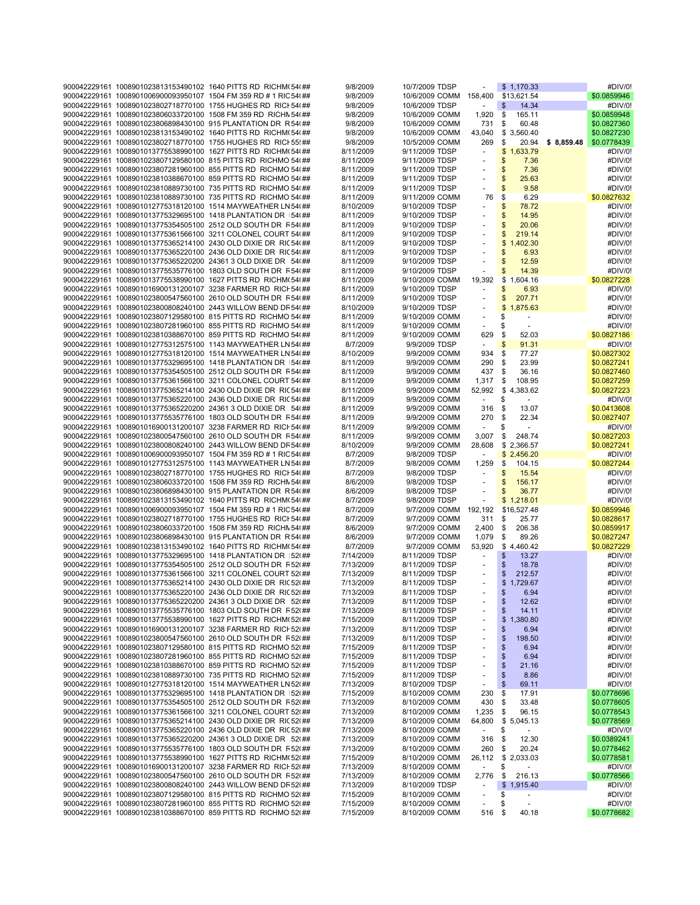|  | 900042229161 1008901023813153490102 1640 PITTS RD RICHM(54(##    | 9/8/2009  | 10/7/2009 TDSP         |                          | \$1,170.33                     |             | #DIV/0!     |
|--|------------------------------------------------------------------|-----------|------------------------|--------------------------|--------------------------------|-------------|-------------|
|  | 900042229161 1008901006900093950107 1504 FM 359 RD # 1 RIC 54(## | 9/8/2009  | 10/6/2009 COMM 158,400 |                          | \$13,621.54                    |             | \$0.0859946 |
|  | 900042229161 1008901023802718770100 1755 HUGHES RD RICI 54(##    | 9/8/2009  | 10/6/2009 TDSP         |                          | 14.34                          |             | #DIV/0!     |
|  |                                                                  |           |                        |                          | \$                             |             |             |
|  | 900042229161 1008901023806033720100 1508 FM 359 RD RICHN 54(##   | 9/8/2009  | 10/6/2009 COMM         | 1,920                    | \$<br>165.11                   |             | \$0.0859948 |
|  | 900042229161 1008901023806898430100 915 PLANTATION DR R 54(##    | 9/8/2009  | 10/6/2009 COMM         | 731                      | \$<br>60.48                    |             | \$0.0827360 |
|  | 900042229161 1008901023813153490102 1640 PITTS RD RICHM(54(##    | 9/8/2009  | 10/6/2009 COMM         | 43,040                   | \$3,560.40                     |             | \$0.0827230 |
|  | 900042229161 1008901023802718770100 1755 HUGHES RD RICI 55! ##   | 9/8/2009  | 10/5/2009 COMM         | 269                      | \$<br>20.94                    | \$ 8,859.48 | \$0.0778439 |
|  | 900042229161 1008901013775538990100 1627 PITTS RD RICHM(54(##    | 8/11/2009 | 9/11/2009 TDSP         |                          | \$1,633.79                     |             | #DIV/0!     |
|  | 900042229161 1008901023807129580100 815 PITTS RD RICHMO 54(##    | 8/11/2009 | 9/11/2009 TDSP         |                          | \$<br>7.36                     |             | #DIV/0!     |
|  | 900042229161 1008901023807281960100 855 PITTS RD RICHMO 54(##    | 8/11/2009 | 9/11/2009 TDSP         |                          | \$<br>7.36                     |             | #DIV/0!     |
|  |                                                                  |           |                        |                          |                                |             |             |
|  | 900042229161 1008901023810388670100 859 PITTS RD RICHMO 54(##    | 8/11/2009 | 9/11/2009 TDSP         |                          | \$<br>25.63                    |             | #DIV/0!     |
|  | 900042229161 1008901023810889730100 735 PITTS RD RICHMO 54(##    | 8/11/2009 | 9/11/2009 TDSP         | $\sim$                   | \$<br>9.58                     |             | #DIV/0!     |
|  | 900042229161 1008901023810889730100 735 PITTS RD RICHMO 54(##    | 8/11/2009 | 9/11/2009 COMM         | 76                       | S<br>6.29                      |             | \$0.0827632 |
|  | 900042229161 1008901012775318120100 1514 MAYWEATHER LN 54(##     | 8/10/2009 | 9/10/2009 TDSP         |                          | \$<br>78.72                    |             | #DIV/0!     |
|  | 900042229161 1008901013775329695100 1418 PLANTATION DR 154(##    | 8/11/2009 | 9/10/2009 TDSP         | $\blacksquare$           | \$<br>14.95                    |             | #DIV/0!     |
|  | 900042229161 1008901013775354505100 2512 OLD SOUTH DR F54(##     | 8/11/2009 | 9/10/2009 TDSP         |                          | \$<br>20.06                    |             | #DIV/0!     |
|  | 900042229161 1008901013775361566100 3211 COLONEL COURT 54(##     | 8/11/2009 | 9/10/2009 TDSP         |                          | \$<br>219.14                   |             | #DIV/0!     |
|  |                                                                  |           | 9/10/2009 TDSP         |                          |                                |             |             |
|  | 900042229161 1008901013775365214100 2430 OLD DIXIE DR RIC 54(##  | 8/11/2009 |                        | $\overline{a}$           | \$<br>1,402.30                 |             | #DIV/0!     |
|  | 900042229161 1008901013775365220100 2436 OLD DIXIE DR RIC 54(##  | 8/11/2009 | 9/10/2009 TDSP         |                          | 6.93<br>\$                     |             | #DIV/0!     |
|  | 900042229161 1008901013775365220200 24361 3 OLD DIXIE DR 54(##   | 8/11/2009 | 9/10/2009 TDSP         |                          | \$<br>12.59                    |             | #DIV/0!     |
|  | 900042229161 1008901013775535776100 1803 OLD SOUTH DR F54(##     | 8/11/2009 | 9/10/2009 TDSP         | $\sim$                   | \$<br>14.39                    |             | #DIV/0!     |
|  | 900042229161 1008901013775538990100 1627 PITTS RD RICHM(54(##    | 8/11/2009 | 9/10/2009 COMM         | 19,392                   | \$1,604.16                     |             | \$0.0827228 |
|  | 900042229161 1008901016900131200107 3238 FARMER RD RICH 54(##    | 8/11/2009 | 9/10/2009 TDSP         |                          | \$<br>6.93                     |             | #DIV/0!     |
|  | 900042229161 1008901023800547560100 2610 OLD SOUTH DR F54(##     | 8/11/2009 | 9/10/2009 TDSP         |                          | \$<br>207.71                   |             | #DIV/0!     |
|  |                                                                  |           |                        |                          |                                |             |             |
|  | 900042229161 1008901023800808240100 2443 WILLOW BEND DR 54(##    | 8/10/2009 | 9/10/2009 TDSP         |                          | \$<br>1,875.63                 |             | #DIV/0!     |
|  | 900042229161 1008901023807129580100 815 PITTS RD RICHMO 54(##    | 8/11/2009 | 9/10/2009 COMM         |                          | \$<br>$\overline{\phantom{a}}$ |             | #DIV/0!     |
|  | 900042229161 1008901023807281960100 855 PITTS RD RICHMO 54(##    | 8/11/2009 | 9/10/2009 COMM         | $\sim$                   | \$<br>$\sim$                   |             | #DIV/0!     |
|  | 900042229161 1008901023810388670100 859 PITTS RD RICHMO 54(##    | 8/11/2009 | 9/10/2009 COMM         | 629                      | \$<br>52.03                    |             | \$0.0827186 |
|  | 900042229161 1008901012775312575100 1143 MAYWEATHER LN 54(##     | 8/7/2009  | 9/9/2009 TDSP          | $\sim$                   | \$<br>91.31                    |             | #DIV/0!     |
|  | 900042229161 1008901012775318120100 1514 MAYWEATHER LN 54(##     | 8/10/2009 | 9/9/2009 COMM          | 934                      | \$<br>77.27                    |             | \$0.0827302 |
|  | 900042229161 1008901013775329695100 1418 PLANTATION DR 154(##    | 8/11/2009 | 9/9/2009 COMM          | 290                      | \$<br>23.99                    |             | \$0.0827241 |
|  |                                                                  |           |                        |                          |                                |             |             |
|  | 900042229161 1008901013775354505100 2512 OLD SOUTH DR R54(##     | 8/11/2009 | 9/9/2009 COMM          | 437                      | \$<br>36.16                    |             | \$0.0827460 |
|  | 900042229161 1008901013775361566100 3211 COLONEL COURT 54(##     | 8/11/2009 | 9/9/2009 COMM          | 1,317                    | \$<br>108.95                   |             | \$0.0827259 |
|  | 900042229161 1008901013775365214100 2430 OLD DIXIE DR RIC 54(##  | 8/11/2009 | 9/9/2009 COMM          |                          | 52,992 \$4,383.62              |             | \$0.0827223 |
|  | 900042229161 1008901013775365220100 2436 OLD DIXIE DR RIC 54(##  | 8/11/2009 | 9/9/2009 COMM          | $\overline{\phantom{a}}$ | \$<br>$\sim$                   |             | #DIV/0!     |
|  | 900042229161 1008901013775365220200 24361 3 OLD DIXIE DR 54(##   | 8/11/2009 | 9/9/2009 COMM          | 316                      | \$<br>13.07                    |             | \$0.0413608 |
|  | 900042229161 1008901013775535776100 1803 OLD SOUTH DR F54(##     | 8/11/2009 | 9/9/2009 COMM          | 270                      | \$<br>22.34                    |             | \$0.0827407 |
|  | 900042229161 1008901016900131200107 3238 FARMER RD RICI 54(##    | 8/11/2009 | 9/9/2009 COMM          |                          | \$<br>$\blacksquare$           |             | #DIV/0!     |
|  |                                                                  | 8/11/2009 |                        |                          | \$<br>248.74                   |             |             |
|  | 900042229161 1008901023800547560100 2610 OLD SOUTH DR F54(##     |           | 9/9/2009 COMM          | 3,007                    |                                |             | \$0.0827203 |
|  | 900042229161 1008901023800808240100 2443 WILLOW BEND DR 54(##    | 8/10/2009 | 9/9/2009 COMM          | 28,608                   | \$2,366.57                     |             | \$0.0827241 |
|  | 900042229161 1008901006900093950107 1504 FM 359 RD # 1 RIC 54(## | 8/7/2009  | 9/8/2009 TDSP          | $\sim$                   | \$2,456.20                     |             | #DIV/0!     |
|  | 900042229161 1008901012775312575100 1143 MAYWEATHER LN 54(##     | 8/7/2009  | 9/8/2009 COMM          | 1,259                    | \$<br>104.15                   |             | \$0.0827244 |
|  | 900042229161 1008901023802718770100 1755 HUGHES RD RICI 54(##    | 8/7/2009  | 9/8/2009 TDSP          | $\overline{\phantom{a}}$ | \$<br>15.54                    |             | #DIV/0!     |
|  | 900042229161 1008901023806033720100 1508 FM 359 RD RICHN 54(##   | 8/6/2009  | 9/8/2009 TDSP          |                          | \$<br>156.17                   |             | #DIV/0!     |
|  | 900042229161 1008901023806898430100 915 PLANTATION DR R 54(##    | 8/6/2009  | 9/8/2009 TDSP          | $\overline{\phantom{a}}$ | \$<br>36.77                    |             | #DIV/0!     |
|  | 900042229161 1008901023813153490102 1640 PITTS RD RICHM(54(##    | 8/7/2009  | 9/8/2009 TDSP          | $\overline{\phantom{a}}$ | \$1,218.01                     |             | #DIV/0!     |
|  |                                                                  |           |                        |                          |                                |             |             |
|  | 900042229161 1008901006900093950107 1504 FM 359 RD # 1 RIC 54(## | 8/7/2009  | 9/7/2009 COMM          | 192,192                  | \$16,527.48                    |             | \$0.0859946 |
|  | 900042229161 1008901023802718770100 1755 HUGHES RD RICI 54(##    | 8/7/2009  | 9/7/2009 COMM          | 311                      | \$<br>25.77                    |             | \$0.0828617 |
|  | 900042229161 1008901023806033720100 1508 FM 359 RD RICHN 54(##   | 8/6/2009  | 9/7/2009 COMM          | 2,400                    | \$<br>206.38                   |             | \$0.0859917 |
|  | 900042229161 1008901023806898430100 915 PLANTATION DR R 54(##    | 8/6/2009  | 9/7/2009 COMM          | 1,079                    | \$<br>89.26                    |             | \$0.0827247 |
|  | 900042229161 1008901023813153490102 1640 PITTS RD RICHM(54(##    | 8/7/2009  | 9/7/2009 COMM          | 53,920                   | \$4,460.42                     |             | \$0.0827229 |
|  | 900042229161 1008901013775329695100 1418 PLANTATION DR 152(##    | 7/14/2009 | 8/11/2009 TDSP         |                          | \$<br>13.27                    |             | #DIV/0!     |
|  | 900042229161 1008901013775354505100 2512 OLD SOUTH DR R52(##     | 7/13/2009 | 8/11/2009 TDSP         |                          | \$<br>18.78                    |             | #DIV/0!     |
|  |                                                                  |           |                        |                          |                                |             |             |
|  | 900042229161_1008901013775361566100_3211_COLONEL_COURT 52(##     | 7/13/2009 | 8/11/2009 TDSP         |                          | \$<br>212.57                   |             | #DIV/0!     |
|  | 900042229161 1008901013775365214100 2430 OLD DIXIE DR RIC 520 ## | 7/13/2009 | 8/11/2009 TDSP         |                          | \$<br>1,729.67                 |             | #DIV/0!     |
|  | 900042229161 1008901013775365220100 2436 OLD DIXIE DR RIC 52(##  | 7/13/2009 | 8/11/2009 TDSP         |                          | 6.94<br>\$                     |             | #DIV/0!     |
|  | 900042229161 1008901013775365220200 24361 3 OLD DIXIE DR 52(##   | 7/13/2009 | 8/11/2009 TDSP         |                          | \$<br>12.62                    |             | #DIV/0!     |
|  | 900042229161 1008901013775535776100 1803 OLD SOUTH DR R52(##     | 7/13/2009 | 8/11/2009 TDSP         |                          | \$<br>14.11                    |             | #DIV/0!     |
|  | 900042229161 1008901013775538990100 1627 PITTS RD RICHM(52(##    | 7/15/2009 | 8/11/2009 TDSP         |                          | \$<br>1,380.80                 |             | #DIV/0!     |
|  | 900042229161 1008901016900131200107 3238 FARMER RD RICH 52(##    | 7/13/2009 | 8/11/2009 TDSP         |                          | \$<br>6.94                     |             | #DIV/0!     |
|  | 900042229161 1008901023800547560100 2610 OLD SOUTH DR F52(##     | 7/13/2009 | 8/11/2009 TDSP         |                          | \$<br>198.50                   |             | #DIV/0!     |
|  |                                                                  |           |                        |                          |                                |             | #DIV/0!     |
|  | 900042229161 1008901023807129580100 815 PITTS RD RICHMO 52(##    | 7/15/2009 | 8/11/2009 TDSP         |                          | \$<br>6.94                     |             |             |
|  | 900042229161 1008901023807281960100 855 PITTS RD RICHMO 52(##    | 7/15/2009 | 8/11/2009 TDSP         |                          | \$<br>6.94                     |             | #DIV/0!     |
|  | 900042229161 1008901023810388670100 859 PITTS RD RICHMO 52(##    | 7/15/2009 | 8/11/2009 TDSP         |                          | \$<br>21.16                    |             | #DIV/0!     |
|  | 900042229161 1008901023810889730100 735 PITTS RD RICHMO 52(##    | 7/15/2009 | 8/11/2009 TDSP         |                          | \$<br>8.86                     |             | #DIV/0!     |
|  | 900042229161 1008901012775318120100 1514 MAYWEATHER LN 52(##     | 7/13/2009 | 8/10/2009 TDSP         |                          | \$<br>69.11                    |             | #DIV/0!     |
|  | 900042229161 1008901013775329695100 1418 PLANTATION DR 152(##    | 7/15/2009 | 8/10/2009 COMM         | 230                      | \$<br>17.91                    |             | \$0.0778696 |
|  | 900042229161 1008901013775354505100 2512 OLD SOUTH DR F520##     | 7/13/2009 | 8/10/2009 COMM         | 430                      | \$<br>33.48                    |             | \$0.0778605 |
|  | 900042229161 1008901013775361566100 3211 COLONEL COURT 52(##     | 7/13/2009 | 8/10/2009 COMM         | $1,235$ \$               | 96.15                          |             |             |
|  |                                                                  |           |                        |                          |                                |             | \$0.0778543 |
|  | 900042229161_1008901013775365214100_2430_OLD_DIXIE_DR_RIC52(##   | 7/13/2009 | 8/10/2009 COMM         | 64,800                   | \$5,045.13                     |             | \$0.0778569 |
|  | 900042229161 1008901013775365220100 2436 OLD DIXIE DR RIC 52(##  | 7/13/2009 | 8/10/2009 COMM         | $\sim$                   | \$                             |             | #DIV/0!     |
|  | 900042229161 1008901013775365220200 24361 3 OLD DIXIE DR 52(##   | 7/13/2009 | 8/10/2009 COMM         | 316                      | 12.30<br>\$                    |             | \$0.0389241 |
|  | 900042229161 1008901013775535776100 1803 OLD SOUTH DR F52(##     | 7/13/2009 | 8/10/2009 COMM         | 260                      | \$<br>20.24                    |             | \$0.0778462 |
|  | 900042229161 1008901013775538990100 1627 PITTS RD RICHM(52(##    | 7/15/2009 | 8/10/2009 COMM         |                          | 26,112 \$ 2,033.03             |             | \$0.0778581 |
|  | 900042229161 1008901016900131200107 3238 FARMER RD RICH 52(##    | 7/13/2009 | 8/10/2009 COMM         | $\omega$                 | \$                             |             | #DIV/0!     |
|  | 900042229161 1008901023800547560100 2610 OLD SOUTH DR F52(##     | 7/13/2009 | 8/10/2009 COMM         | 2,776                    | \$<br>216.13                   |             | \$0.0778566 |
|  |                                                                  |           |                        |                          |                                |             |             |
|  | 900042229161 1008901023800808240100 2443 WILLOW BEND DR 52(##    | 7/13/2009 | 8/10/2009 TDSP         | $\overline{\phantom{a}}$ | \$1,915.40                     |             | #DIV/0!     |
|  | 900042229161 1008901023807129580100 815 PITTS RD RICHMO 52(##    | 7/15/2009 | 8/10/2009 COMM         |                          | \$<br>$\overline{\phantom{a}}$ |             | #DIV/0!     |
|  | 900042229161 1008901023807281960100 855 PITTS RD RICHMO 52(##    | 7/15/2009 | 8/10/2009 COMM         |                          | S<br>$\overline{\phantom{a}}$  |             | #DIV/0!     |
|  | 900042229161 1008901023810388670100 859 PITTS RD RICHMO 52(##    | 7/15/2009 | 8/10/2009 COMM         | 516                      | \$<br>40.18                    |             | \$0.0778682 |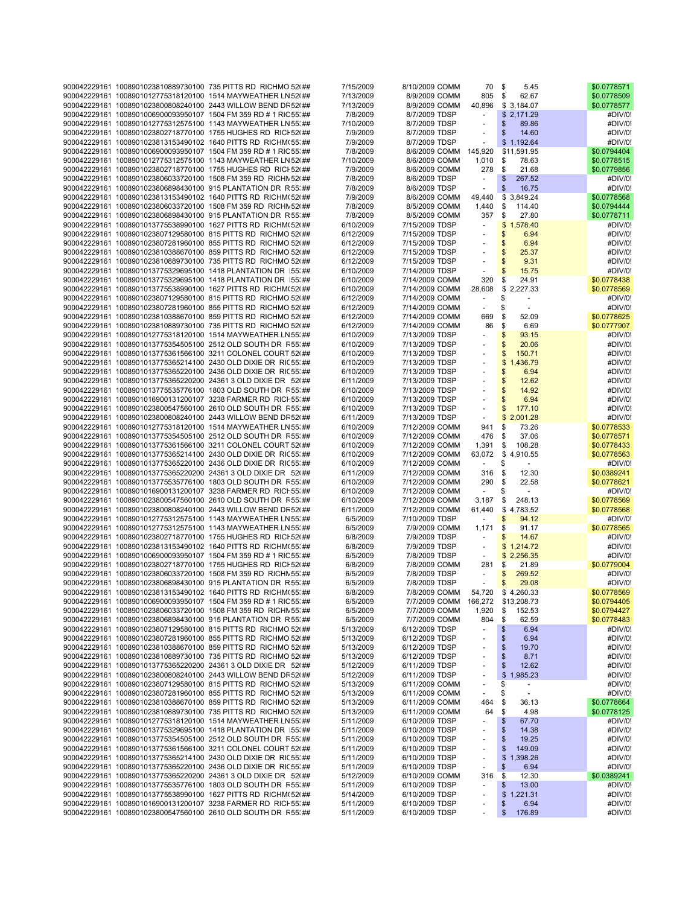|  | 900042229161 1008901023810889730100 735 PITTS RD RICHMO 52(##     | 7/15/2009 | 8/10/2009 COMM                    | 70                  | \$<br>5.45                        | \$0.0778571 |
|--|-------------------------------------------------------------------|-----------|-----------------------------------|---------------------|-----------------------------------|-------------|
|  |                                                                   |           |                                   |                     |                                   |             |
|  | 900042229161 1008901012775318120100 1514 MAYWEATHER LN 52(##      | 7/13/2009 | 8/9/2009 COMM                     | 805                 | \$<br>62.67                       | \$0.0778509 |
|  | 900042229161 1008901023800808240100 2443 WILLOW BEND DR 52(##     | 7/13/2009 | 8/9/2009 COMM                     | 40,896              | \$3,184.07                        | \$0.0778577 |
|  | 900042229161 1008901006900093950107 1504 FM 359 RD # 1 RIC 55; ## | 7/8/2009  | 8/7/2009 TDSP                     | $\sim$              | \$2,171.29                        | #DIV/0!     |
|  | 900042229161 1008901012775312575100 1143 MAYWEATHER LN 55; ##     | 7/10/2009 | 8/7/2009 TDSP                     |                     | \$<br>89.86                       | #DIV/0!     |
|  |                                                                   |           |                                   |                     |                                   |             |
|  | 900042229161 1008901023802718770100 1755 HUGHES RD RICI 52(##     | 7/9/2009  | 8/7/2009 TDSP                     |                     | \$<br>14.60                       | #DIV/0!     |
|  | 900042229161 1008901023813153490102 1640 PITTS RD RICHM(55; ##    | 7/9/2009  | 8/7/2009 TDSP                     | ÷,                  | \$1.192.64                        | #DIV/0!     |
|  | 900042229161 1008901006900093950107 1504 FM 359 RD # 1 RIC 55; ## | 7/8/2009  | 8/6/2009 COMM 145,920             |                     | \$11,591.95                       | \$0.0794404 |
|  | 900042229161 1008901012775312575100 1143 MAYWEATHER LN 52(##      | 7/10/2009 | 8/6/2009 COMM                     | 1,010               | \$<br>78.63                       | \$0.0778515 |
|  |                                                                   |           |                                   |                     |                                   |             |
|  | 900042229161 1008901023802718770100 1755 HUGHES RD RICI 52(##     | 7/9/2009  | 8/6/2009 COMM                     | 278                 | \$<br>21.68                       | \$0.0779856 |
|  | 900042229161 1008901023806033720100 1508 FM 359 RD RICHN 52(##    | 7/8/2009  | 8/6/2009 TDSP                     | $\bar{\phantom{a}}$ | $\sqrt[6]{3}$<br>267.52           | #DIV/0!     |
|  | 900042229161 1008901023806898430100 915 PLANTATION DR R 55. ##    | 7/8/2009  | 8/6/2009 TDSP                     | $\sim$              | $\sqrt[6]{3}$<br>16.75            | #DIV/0!     |
|  | 900042229161 1008901023813153490102 1640 PITTS RD RICHM(52(##     | 7/9/2009  | 8/6/2009 COMM                     |                     | \$3,849.24                        | \$0.0778568 |
|  |                                                                   |           |                                   | 49,440              |                                   |             |
|  | 900042229161 1008901023806033720100 1508 FM 359 RD RICHN 52(##    | 7/8/2009  | 8/5/2009 COMM                     | 1,440               | \$<br>114.40                      | \$0.0794444 |
|  | 900042229161 1008901023806898430100 915 PLANTATION DR R 55; ##    | 7/8/2009  | 8/5/2009 COMM                     | 357                 | \$<br>27.80                       | \$0.0778711 |
|  | 900042229161 1008901013775538990100 1627 PITTS RD RICHM(52(##     | 6/10/2009 | 7/15/2009 TDSP                    | $\blacksquare$      | \$1,578.40                        | #DIV/0!     |
|  |                                                                   |           |                                   |                     |                                   |             |
|  | 900042229161 1008901023807129580100 815 PITTS RD RICHMO 52(##     | 6/12/2009 | 7/15/2009 TDSP                    | $\sim$              | \$<br>6.94                        | #DIV/0!     |
|  | 900042229161 1008901023807281960100 855 PITTS RD RICHMO 52(##     | 6/12/2009 | 7/15/2009 TDSP                    |                     | \$<br>6.94                        | #DIV/0!     |
|  | 900042229161 1008901023810388670100 859 PITTS RD RICHMO 52(##     | 6/12/2009 | 7/15/2009 TDSP                    |                     | $\mathsf{\$}$<br>25.37            | #DIV/0!     |
|  | 900042229161 1008901023810889730100 735 PITTS RD RICHMO 52(##     | 6/12/2009 | 7/15/2009 TDSP                    |                     | \$<br>9.31                        | #DIV/0!     |
|  |                                                                   |           |                                   |                     |                                   |             |
|  | 900042229161 1008901013775329695100 1418 PLANTATION DR   55. ##   | 6/10/2009 | 7/14/2009 TDSP                    | ÷,                  | \$<br>15.75                       | #DIV/0!     |
|  | 900042229161 1008901013775329695100 1418 PLANTATION DR 155; ##    | 6/10/2009 | 7/14/2009 COMM                    | 320                 | \$<br>24.91                       | \$0.0778438 |
|  | 900042229161 1008901013775538990100 1627 PITTS RD RICHM(52(##     | 6/10/2009 | 7/14/2009 COMM                    | 28,608              | \$2,227.33                        | \$0.0778569 |
|  |                                                                   |           |                                   | $\sim$              |                                   |             |
|  | 900042229161 1008901023807129580100 815 PITTS RD RICHMO 52(##     | 6/12/2009 | 7/14/2009 COMM                    |                     | \$<br>$\sim$                      | #DIV/0!     |
|  | 900042229161 1008901023807281960100 855 PITTS RD RICHMO 52(##     | 6/12/2009 | 7/14/2009 COMM                    |                     | \$                                | #DIV/0!     |
|  | 900042229161 1008901023810388670100 859 PITTS RD RICHMO 52(##     | 6/12/2009 | 7/14/2009 COMM                    | 669                 | \$<br>52.09                       | \$0.0778625 |
|  | 900042229161 1008901023810889730100 735 PITTS RD RICHMO 52(##     | 6/12/2009 | 7/14/2009 COMM                    | 86                  | \$<br>6.69                        | \$0.0777907 |
|  |                                                                   |           |                                   |                     |                                   |             |
|  | 900042229161 1008901012775318120100 1514 MAYWEATHER LN 55; ##     | 6/10/2009 | 7/13/2009 TDSP                    |                     | $\mathsf{\$}$<br>93.15            | #DIV/0!     |
|  | 900042229161 1008901013775354505100 2512 OLD SOUTH DR F55; ##     | 6/10/2009 | 7/13/2009 TDSP                    | $\overline{a}$      | $\mathsf{\$}$<br>20.06            | #DIV/0!     |
|  | 900042229161_1008901013775361566100_3211_COLONEL_COURT 52(##      | 6/10/2009 | 7/13/2009 TDSP                    |                     | \$<br>150.71                      | #DIV/0!     |
|  | 900042229161 1008901013775365214100 2430 OLD DIXIE DR RIC 55; ##  | 6/10/2009 | 7/13/2009 TDSP                    |                     | \$1,436.79                        | #DIV/0!     |
|  |                                                                   |           |                                   |                     |                                   |             |
|  | 900042229161 1008901013775365220100 2436 OLD DIXIE DR RIC 55; ##  | 6/10/2009 | 7/13/2009 TDSP                    |                     | \$<br>6.94                        | #DIV/0!     |
|  | 900042229161 1008901013775365220200 24361 3 OLD DIXIE DR 52(##    | 6/11/2009 | 7/13/2009 TDSP                    |                     | \$<br>12.62                       | #DIV/0!     |
|  | 900042229161 1008901013775535776100 1803 OLD SOUTH DR R55; ##     | 6/10/2009 | 7/13/2009 TDSP                    |                     | $\mathsf{\$}$<br>14.92            | #DIV/0!     |
|  |                                                                   |           | 7/13/2009 TDSP                    |                     |                                   |             |
|  | 900042229161 1008901016900131200107 3238 FARMER RD RICH 55; ##    | 6/10/2009 |                                   | $\overline{a}$      | \$<br>6.94                        | #DIV/0!     |
|  | 900042229161 1008901023800547560100 2610 OLD SOUTH DR F55; ##     | 6/10/2009 | 7/13/2009 TDSP                    |                     | \$<br>177.10                      | #DIV/0!     |
|  | 900042229161 1008901023800808240100 2443 WILLOW BEND DR 52(##     | 6/11/2009 | 7/13/2009 TDSP                    | $\sim$              | \$2,001.28                        | #DIV/0!     |
|  | 900042229161 1008901012775318120100 1514 MAYWEATHER LN 55; ##     | 6/10/2009 | 7/12/2009 COMM                    | 941                 | \$<br>73.26                       | \$0.0778533 |
|  |                                                                   |           |                                   |                     |                                   |             |
|  | 900042229161 1008901013775354505100 2512 OLD SOUTH DR R55; ##     | 6/10/2009 | 7/12/2009 COMM                    | 476                 | \$<br>37.06                       | \$0.0778571 |
|  | 900042229161 1008901013775361566100 3211 COLONEL COURT 52(##      | 6/10/2009 | 7/12/2009 COMM                    | 1,391               | \$<br>108.28                      | \$0.0778433 |
|  | 900042229161 1008901013775365214100 2430 OLD DIXIE DR RIC 55; ##  | 6/10/2009 | 7/12/2009 COMM                    | 63,072              | \$4,910.55                        | \$0.0778563 |
|  | 900042229161 1008901013775365220100 2436 OLD DIXIE DR RIC 55; ##  | 6/10/2009 | 7/12/2009 COMM                    | $\sim$              | \$                                | #DIV/0!     |
|  |                                                                   |           |                                   |                     |                                   |             |
|  | 900042229161 1008901013775365220200 24361 3 OLD DIXIE DR 52(##    | 6/11/2009 | 7/12/2009 COMM                    | 316                 | \$<br>12.30                       | \$0.0389241 |
|  | 900042229161 1008901013775535776100 1803 OLD SOUTH DR R55; ##     | 6/10/2009 | 7/12/2009 COMM                    | 290                 | \$<br>22.58                       | \$0.0778621 |
|  | 900042229161 1008901016900131200107 3238 FARMER RD RICH 55; ##    | 6/10/2009 | 7/12/2009 COMM                    | $\sim$              | \$<br>$\sim$                      | #DIV/0!     |
|  |                                                                   |           |                                   |                     | \$                                |             |
|  | 900042229161 1008901023800547560100 2610 OLD SOUTH DR F55; ##     | 6/10/2009 | 7/12/2009 COMM                    | 3,187               | 248.13                            | \$0.0778569 |
|  | 900042229161 1008901023800808240100 2443 WILLOW BEND DR 52(##     | 6/11/2009 | 7/12/2009 COMM                    | 61,440              | \$4,783.52                        | \$0.0778568 |
|  | 900042229161 1008901012775312575100 1143 MAYWEATHER LN 55; ##     | 6/5/2009  | 7/10/2009 TDSP                    |                     | \$<br>94.12                       | #DIV/0!     |
|  | 900042229161 1008901012775312575100 1143 MAYWEATHER LN 55; ##     | 6/5/2009  | 7/9/2009 COMM                     | 1,171               | \$<br>91.17                       | \$0.0778565 |
|  |                                                                   |           |                                   |                     |                                   |             |
|  | 900042229161 1008901023802718770100 1755 HUGHES RD RICI 52(##     | 6/8/2009  | 7/9/2009 TDSP                     | $\blacksquare$      | $\mathfrak{S}$<br>14.67           | #DIV/0!     |
|  | 900042229161 1008901023813153490102 1640 PITTS RD RICHM(55; ##    | 6/8/2009  | 7/9/2009 TDSP                     | ÷,                  | \$1,214.72                        | #DIV/0!     |
|  | 900042229161 1008901006900093950107 1504 FM 359 RD # 1 RIC 55; ## | 6/5/2009  | 7/8/2009 TDSP                     | $\sim$              | \$2,256.35                        | #DIV/0!     |
|  | 900042229161 1008901023802718770100 1755 HUGHES RD RICI 52(##     |           |                                   | 281                 | \$                                | \$0.0779004 |
|  |                                                                   | 6/8/2009  | 7/8/2009 COMM                     |                     | 21.89                             |             |
|  | 900042229161 1008901023806033720100 1508 FM 359 RD RICHN 55; ##   | 6/5/2009  | 7/8/2009 TDSP                     |                     | \$<br>269.52                      | #DIV/0!     |
|  | 900042229161 1008901023806898430100 915 PLANTATION DR R 55; ##    | 6/5/2009  | 7/8/2009 TDSP                     |                     | $\mathfrak{S}$<br>29.08           | #DIV/0!     |
|  | 900042229161 1008901023813153490102 1640 PITTS RD RICHM(55; ##    | 6/8/2009  | 7/8/2009 COMM                     | 54,720              | \$4,260.33                        | \$0.0778569 |
|  |                                                                   |           |                                   |                     |                                   |             |
|  | 900042229161 1008901006900093950107 1504 FM 359 RD # 1 RIC 55; ## | 6/5/2009  | 7/7/2009 COMM 166,272 \$13,208.73 |                     |                                   | \$0.0794405 |
|  | 900042229161 1008901023806033720100 1508 FM 359 RD RICHN 55; ##   | 6/5/2009  | 7/7/2009 COMM                     | 1,920               | \$<br>152.53                      | \$0.0794427 |
|  | 900042229161 1008901023806898430100 915 PLANTATION DR R 55; ##    | 6/5/2009  | 7/7/2009 COMM                     | 804                 | \$<br>62.59                       | \$0.0778483 |
|  | 900042229161 1008901023807129580100 815 PITTS RD RICHMO 52(##     | 5/13/2009 | 6/12/2009 TDSP                    |                     | \$<br>6.94                        | #DIV/0!     |
|  |                                                                   |           |                                   |                     |                                   |             |
|  | 900042229161 1008901023807281960100 855 PITTS RD RICHMO 52(##     | 5/13/2009 | 6/12/2009 TDSP                    |                     | \$<br>6.94                        | #DIV/0!     |
|  | 900042229161 1008901023810388670100 859 PITTS RD RICHMO 52(##     | 5/13/2009 | 6/12/2009 TDSP                    |                     | \$<br>19.70                       | #DIV/0!     |
|  | 900042229161 1008901023810889730100 735 PITTS RD RICHMO 52(##     | 5/13/2009 | 6/12/2009 TDSP                    |                     | $\boldsymbol{\mathsf{s}}$<br>8.71 | #DIV/0!     |
|  | 900042229161 1008901013775365220200 24361 3 OLD DIXIE DR 52(##    | 5/12/2009 | 6/11/2009 TDSP                    |                     | \$<br>12.62                       | #DIV/0!     |
|  |                                                                   |           |                                   |                     |                                   |             |
|  | 900042229161 1008901023800808240100 2443 WILLOW BEND DR 52(##     | 5/12/2009 | 6/11/2009 TDSP                    |                     | \$1,985.23                        | #DIV/0!     |
|  | 900042229161 1008901023807129580100 815 PITTS RD RICHMO 52(##     | 5/13/2009 | 6/11/2009 COMM                    |                     | \$                                | #DIV/0!     |
|  | 900042229161 1008901023807281960100 855 PITTS RD RICHMO 52(##     | 5/13/2009 | 6/11/2009 COMM                    |                     | \$<br>$\blacksquare$              | #DIV/0!     |
|  |                                                                   |           |                                   |                     |                                   |             |
|  | 900042229161 1008901023810388670100 859 PITTS RD RICHMO 52(##     | 5/13/2009 | 6/11/2009 COMM                    | 464                 | \$<br>36.13                       | \$0.0778664 |
|  | 900042229161 1008901023810889730100 735 PITTS RD RICHMO 52(##     | 5/13/2009 | 6/11/2009 COMM                    | 64                  | \$<br>4.98                        | \$0.0778125 |
|  | 900042229161_1008901012775318120100_1514 MAYWEATHER LN 55; ##     | 5/11/2009 | 6/10/2009 TDSP                    |                     | \$<br>67.70                       | #DIV/0!     |
|  | 900042229161 1008901013775329695100 1418 PLANTATION DR 155; ##    | 5/11/2009 | 6/10/2009 TDSP                    |                     | \$<br>14.38                       | #DIV/0!     |
|  |                                                                   |           |                                   |                     |                                   |             |
|  | 900042229161 1008901013775354505100 2512 OLD SOUTH DR R55; ##     | 5/11/2009 | 6/10/2009 TDSP                    |                     | \$<br>19.25                       | #DIV/0!     |
|  | 900042229161 1008901013775361566100 3211 COLONEL COURT 52(##      | 5/11/2009 | 6/10/2009 TDSP                    | ٠                   | \$<br>149.09                      | #DIV/0!     |
|  | 900042229161 1008901013775365214100 2430 OLD DIXIE DR RIC 55; ##  | 5/11/2009 | 6/10/2009 TDSP                    | ÷,                  | \$1,398.26                        | #DIV/0!     |
|  | 900042229161 1008901013775365220100 2436 OLD DIXIE DR RIC 55; ##  | 5/11/2009 | 6/10/2009 TDSP                    |                     | \$<br>6.94                        | #DIV/0!     |
|  |                                                                   |           |                                   |                     |                                   |             |
|  | 900042229161 1008901013775365220200 24361 3 OLD DIXIE DR 52(##    | 5/12/2009 | 6/10/2009 COMM                    | 316                 | \$<br>12.30                       | \$0.0389241 |
|  | 900042229161 1008901013775535776100 1803 OLD SOUTH DR F55; ##     | 5/11/2009 | 6/10/2009 TDSP                    | ä,                  | \$<br>13.00                       | #DIV/0!     |
|  | 900042229161 1008901013775538990100 1627 PITTS RD RICHM(52(##     | 5/14/2009 | 6/10/2009 TDSP                    | ٠                   | \$1,221.31                        | #DIV/0!     |
|  | 900042229161 1008901016900131200107 3238 FARMER RD RICH 55; ##    | 5/11/2009 | 6/10/2009 TDSP                    |                     | \$<br>6.94                        | #DIV/0!     |
|  |                                                                   |           |                                   |                     |                                   |             |
|  | 900042229161 1008901023800547560100 2610 OLD SOUTH DR F55; ##     | 5/11/2009 | 6/10/2009 TDSP                    |                     | \$<br>176.89                      | #DIV/0!     |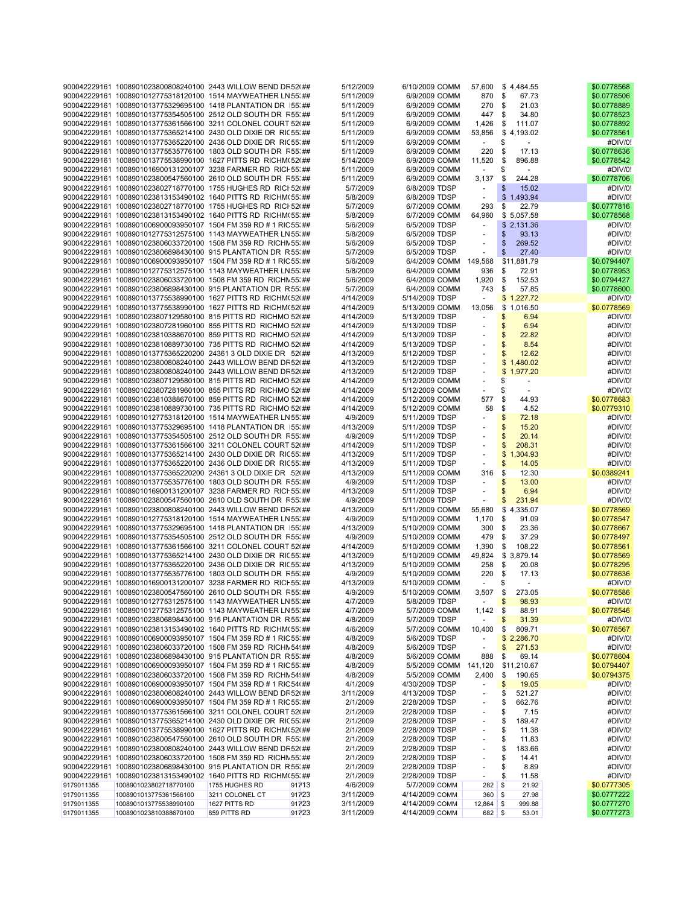|            | 900042229161 1008901023800808240100 2443 WILLOW BEND DR 52(##     |                 |        | 5/12/2009 | 6/10/2009 COMM |                          | 57,600 \$4,484.55      | \$0.0778568 |
|------------|-------------------------------------------------------------------|-----------------|--------|-----------|----------------|--------------------------|------------------------|-------------|
|            | 900042229161 1008901012775318120100 1514 MAYWEATHER LN 55; ##     |                 |        | 5/11/2009 | 6/9/2009 COMM  | 870                      | \$<br>67.73            | \$0.0778506 |
|            | 900042229161 1008901013775329695100 1418 PLANTATION DR 155; ##    |                 |        | 5/11/2009 | 6/9/2009 COMM  | 270                      | <b>S</b><br>21.03      | \$0.0778889 |
|            | 900042229161 1008901013775354505100 2512 OLD SOUTH DR R 55: ##    |                 |        | 5/11/2009 | 6/9/2009 COMM  | 447                      | \$<br>34.80            | \$0.0778523 |
|            | 900042229161_1008901013775361566100_3211_COLONEL_COURT 52(##      |                 |        | 5/11/2009 | 6/9/2009 COMM  | 1,426                    | \$<br>111.07           | \$0.0778892 |
|            | 900042229161 1008901013775365214100 2430 OLD DIXIE DR RIC 55: ##  |                 |        | 5/11/2009 | 6/9/2009 COMM  | 53,856                   | \$4,193.02             | \$0.0778561 |
|            | 900042229161 1008901013775365220100 2436 OLD DIXIE DR RIC 55: ##  |                 |        | 5/11/2009 | 6/9/2009 COMM  | $\omega$                 | \$                     | #DIV/0!     |
|            | 900042229161 1008901013775535776100 1803 OLD SOUTH DR F55; ##     |                 |        | 5/11/2009 |                |                          |                        | \$0.0778636 |
|            |                                                                   |                 |        |           | 6/9/2009 COMM  | 220                      | \$<br>17.13            |             |
|            | 900042229161 1008901013775538990100 1627 PITTS RD RICHM(52(##     |                 |        | 5/14/2009 | 6/9/2009 COMM  | 11,520                   | \$<br>896.88           | \$0.0778542 |
|            | 900042229161 1008901016900131200107 3238 FARMER RD RICH 55; ##    |                 |        | 5/11/2009 | 6/9/2009 COMM  | ÷                        | \$                     | #DIV/0!     |
|            | 900042229161 1008901023800547560100 2610 OLD SOUTH DR F55; ##     |                 |        | 5/11/2009 | 6/9/2009 COMM  | 3,137                    | \$<br>244.28           | \$0.0778706 |
|            | 900042229161 1008901023802718770100 1755 HUGHES RD RICI 52(##     |                 |        | 5/7/2009  | 6/8/2009 TDSP  |                          | \$<br>15.02            | #DIV/0!     |
|            | 900042229161 1008901023813153490102 1640 PITTS RD RICHM(55; ##    |                 |        | 5/8/2009  | 6/8/2009 TDSP  | ÷,                       | \$1,493.94             | #DIV/0!     |
|            | 900042229161 1008901023802718770100 1755 HUGHES RD RICI 52(##     |                 |        | 5/7/2009  | 6/7/2009 COMM  | 293                      | \$<br>22.79            | \$0.0777816 |
|            | 900042229161 1008901023813153490102 1640 PITTS RD RICHM(55; ##    |                 |        | 5/8/2009  | 6/7/2009 COMM  | 64,960                   | \$5,057.58             | \$0.0778568 |
|            | 900042229161 1008901006900093950107 1504 FM 359 RD # 1 RIC 55; ## |                 |        | 5/6/2009  | 6/5/2009 TDSP  |                          | \$2,131.36             | #DIV/0!     |
|            | 900042229161 1008901012775312575100 1143 MAYWEATHER LN 55; ##     |                 |        | 5/8/2009  | 6/5/2009 TDSP  |                          | \$<br>93.13            | #DIV/0!     |
|            | 900042229161 1008901023806033720100 1508 FM 359 RD RICHN 55: ##   |                 |        | 5/6/2009  | 6/5/2009 TDSP  | ÷                        | \$<br>269.52           | #DIV/0!     |
|            | 900042229161 1008901023806898430100 915 PLANTATION DR R 55' ##    |                 |        | 5/7/2009  | 6/5/2009 TDSP  |                          | \$<br>27.40            | #DIV/0!     |
|            |                                                                   |                 |        |           |                |                          |                        |             |
|            | 900042229161 1008901006900093950107 1504 FM 359 RD # 1 RIC 55; ## |                 |        | 5/6/2009  |                | 6/4/2009 COMM 149,568    | \$11,881.79            | \$0.0794407 |
|            | 900042229161 1008901012775312575100 1143 MAYWEATHER LN 55; ##     |                 |        | 5/8/2009  | 6/4/2009 COMM  | 936                      | \$<br>72.91            | \$0.0778953 |
|            | 900042229161 1008901023806033720100 1508 FM 359 RD RICHN 55; ##   |                 |        | 5/6/2009  | 6/4/2009 COMM  | 1,920                    | \$<br>152.53           | \$0.0794427 |
|            | 900042229161 1008901023806898430100 915 PLANTATION DR R 55; ##    |                 |        | 5/7/2009  | 6/4/2009 COMM  | 743                      | \$<br>57.85            | \$0.0778600 |
|            | 900042229161 1008901013775538990100 1627 PITTS RD RICHM(52(##     |                 |        | 4/14/2009 | 5/14/2009 TDSP | $\overline{\phantom{a}}$ | \$1,227.72             | #DIV/0!     |
|            | 900042229161 1008901013775538990100 1627 PITTS RD RICHM(52(##     |                 |        | 4/14/2009 | 5/13/2009 COMM | 13,056                   | \$1,016.50             | \$0.0778569 |
|            | 900042229161 1008901023807129580100 815 PITTS RD RICHMO 52(##     |                 |        | 4/14/2009 | 5/13/2009 TDSP | $\sim$                   | \$<br>6.94             | #DIV/0!     |
|            | 900042229161 1008901023807281960100 855 PITTS RD RICHMO 52(##     |                 |        | 4/14/2009 | 5/13/2009 TDSP |                          | \$<br>6.94             | #DIV/0!     |
|            | 900042229161 1008901023810388670100 859 PITTS RD RICHMO 52(##     |                 |        | 4/14/2009 | 5/13/2009 TDSP |                          | \$<br>22.82            | #DIV/0!     |
|            | 900042229161 1008901023810889730100 735 PITTS RD RICHMO 52(##     |                 |        | 4/14/2009 | 5/13/2009 TDSP | ÷                        | \$<br>8.54             | #DIV/0!     |
|            | 900042229161 1008901013775365220200 24361 3 OLD DIXIE DR 52(##    |                 |        | 4/13/2009 | 5/12/2009 TDSP |                          | \$<br>12.62            | #DIV/0!     |
|            | 900042229161 1008901023800808240100 2443 WILLOW BEND DR 52(##     |                 |        | 4/13/2009 | 5/12/2009 TDSP |                          | \$1,480.02             | #DIV/0!     |
|            |                                                                   |                 |        |           |                |                          |                        |             |
|            | 900042229161 1008901023800808240100 2443 WILLOW BEND DR 52(##     |                 |        | 4/13/2009 | 5/12/2009 TDSP | $\blacksquare$           | \$1,977.20             | #DIV/0!     |
|            | 900042229161 1008901023807129580100 815 PITTS RD RICHMO 52(##     |                 |        | 4/14/2009 | 5/12/2009 COMM | ÷,                       | \$<br>$\blacksquare$   | #DIV/0!     |
|            | 900042229161 1008901023807281960100 855 PITTS RD RICHMO 52(##     |                 |        | 4/14/2009 | 5/12/2009 COMM |                          | \$                     | #DIV/0!     |
|            | 900042229161 1008901023810388670100 859 PITTS RD RICHMO 52(##     |                 |        | 4/14/2009 | 5/12/2009 COMM | 577                      | \$<br>44.93            | \$0.0778683 |
|            | 900042229161 1008901023810889730100 735 PITTS RD RICHMO 52(##     |                 |        | 4/14/2009 | 5/12/2009 COMM | 58                       | \$<br>4.52             | \$0.0779310 |
|            | 900042229161 1008901012775318120100 1514 MAYWEATHER LN 55; ##     |                 |        | 4/9/2009  | 5/11/2009 TDSP |                          | \$<br>72.18            | #DIV/0!     |
|            | 900042229161 1008901013775329695100 1418 PLANTATION DR 155; ##    |                 |        | 4/13/2009 | 5/11/2009 TDSP |                          | \$<br>15.20            | #DIV/0!     |
|            | 900042229161 1008901013775354505100 2512 OLD SOUTH DR F55; ##     |                 |        | 4/9/2009  | 5/11/2009 TDSP |                          | \$<br>20.14            | #DIV/0!     |
|            | 900042229161 1008901013775361566100 3211 COLONEL COURT 52(##      |                 |        | 4/14/2009 | 5/11/2009 TDSP |                          | \$<br>208.31           | #DIV/0!     |
|            | 900042229161 1008901013775365214100 2430 OLD DIXIE DR RIC 55; ##  |                 |        | 4/13/2009 | 5/11/2009 TDSP |                          | \$<br>1,304.93         | #DIV/0!     |
|            | 900042229161 1008901013775365220100 2436 OLD DIXIE DR RIC 55; ##  |                 |        | 4/13/2009 | 5/11/2009 TDSP |                          | \$<br>14.05            | #DIV/0!     |
|            | 900042229161 1008901013775365220200 24361 3 OLD DIXIE DR 52(##    |                 |        | 4/13/2009 | 5/11/2009 COMM | 316                      | \$<br>12.30            | \$0.0389241 |
|            | 900042229161 1008901013775535776100 1803 OLD SOUTH DR F55. ##     |                 |        | 4/9/2009  | 5/11/2009 TDSP | $\blacksquare$           | \$<br>13.00            | #DIV/0!     |
|            |                                                                   |                 |        |           |                |                          |                        |             |
|            | 900042229161 1008901016900131200107 3238 FARMER RD RICH 55; ##    |                 |        | 4/13/2009 | 5/11/2009 TDSP | ÷,                       | \$<br>6.94             | #DIV/0!     |
|            | 900042229161 1008901023800547560100 2610 OLD SOUTH DR F55; ##     |                 |        | 4/9/2009  | 5/11/2009 TDSP | $\overline{\phantom{a}}$ | \$<br>231.94           | #DIV/0!     |
|            | 900042229161 1008901023800808240100 2443 WILLOW BEND DR 52(##     |                 |        | 4/13/2009 | 5/11/2009 COMM | 55,680                   | \$4,335.07             | \$0.0778569 |
|            | 900042229161 1008901012775318120100 1514 MAYWEATHER LN 55; ##     |                 |        | 4/9/2009  | 5/10/2009 COMM | 1,170                    | \$<br>91.09            | \$0.0778547 |
|            | 900042229161 1008901013775329695100 1418 PLANTATION DR 155; ##    |                 |        | 4/13/2009 | 5/10/2009 COMM | 300                      | \$<br>23.36            | \$0.0778667 |
|            | 900042229161 1008901013775354505100 2512 OLD SOUTH DR R55; ##     |                 |        | 4/9/2009  | 5/10/2009 COMM | 479                      | \$<br>37.29            | \$0.0778497 |
|            | 900042229161 1008901013775361566100 3211 COLONEL COURT 52(##      |                 |        | 4/14/2009 | 5/10/2009 COMM | 1,390                    | \$<br>108.22           | \$0.0778561 |
|            | 900042229161 1008901013775365214100 2430 OLD DIXIE DR RIC 55; ##  |                 |        | 4/13/2009 | 5/10/2009 COMM | 49,824                   | \$3,879.14             | \$0.0778569 |
|            | 900042229161 1008901013775365220100 2436 OLD DIXIE DR RIC 55; ##  |                 |        | 4/13/2009 | 5/10/2009 COMM | 258                      | \$<br>20.08            | \$0.0778295 |
|            | 900042229161 1008901013775535776100 1803 OLD SOUTH DR F55. ##     |                 |        | 4/9/2009  | 5/10/2009 COMM | 220                      | \$<br>17.13            | \$0.0778636 |
|            | 900042229161 1008901016900131200107 3238 FARMER RD RICH 55; ##    |                 |        | 4/13/2009 | 5/10/2009 COMM | $\blacksquare$           | \$                     | #DIV/0!     |
|            | 900042229161 1008901023800547560100 2610 OLD SOUTH DR F55. ##     |                 |        | 4/9/2009  | 5/10/2009 COMM | 3,507                    | 273.05<br>\$           | \$0.0778586 |
|            | 900042229161 1008901012775312575100 1143 MAYWEATHER LN 55:##      |                 |        | 4/7/2009  | 5/8/2009 TDSP  |                          | \$<br>98.93            | #DIV/0!     |
|            | 900042229161 1008901012775312575100 1143 MAYWEATHER LN 55; ##     |                 |        | 4/7/2009  | 5/7/2009 COMM  | 1,142                    | \$<br>88.91            | \$0.0778546 |
|            | 900042229161 1008901023806898430100 915 PLANTATION DR R 55; ##    |                 |        | 4/8/2009  | 5/7/2009 TDSP  |                          | \$<br>31.39            | #DIV/0!     |
|            |                                                                   |                 |        |           |                |                          |                        |             |
|            | 900042229161 1008901023813153490102 1640 PITTS RD RICHM(55; ##    |                 |        | 4/6/2009  | 5/7/2009 COMM  | 10,400                   | \$<br>809.71           | \$0.0778567 |
|            | 900042229161 1008901006900093950107 1504 FM 359 RD # 1 RIC 55; ## |                 |        | 4/8/2009  | 5/6/2009 TDSP  |                          | \$2,286.70             | #DIV/0!     |
|            | 900042229161 1008901023806033720100 1508 FM 359 RD RICHN 54! ##   |                 |        | 4/8/2009  | 5/6/2009 TDSP  | ÷,                       | \$<br>271.53           | #DIV/0!     |
|            | 900042229161 1008901023806898430100 915 PLANTATION DR R 55; ##    |                 |        | 4/8/2009  | 5/6/2009 COMM  | 888                      | \$<br>69.14            | \$0.0778604 |
|            | 900042229161 1008901006900093950107 1504 FM 359 RD # 1 RIC 55; ## |                 |        | 4/8/2009  | 5/5/2009 COMM  | 141,120                  | \$11,210.67            | \$0.0794407 |
|            | 900042229161 1008901023806033720100 1508 FM 359 RD RICHN 54! ##   |                 |        | 4/8/2009  | 5/5/2009 COMM  | 2,400                    | \$<br>190.65           | \$0.0794375 |
|            | 900042229161 1008901006900093950107 1504 FM 359 RD # 1 RIC 54(##  |                 |        | 4/1/2009  | 4/30/2009 TDSP |                          | \$<br>19.05            | #DIV/0!     |
|            | 900042229161 1008901023800808240100 2443 WILLOW BEND DR 52(##     |                 |        | 3/11/2009 | 4/13/2009 TDSP |                          | \$<br>521.27           | #DIV/0!     |
|            | 900042229161 1008901006900093950107 1504 FM 359 RD # 1 RIC 55; ## |                 |        | 2/1/2009  | 2/28/2009 TDSP |                          | \$<br>662.76           | #DIV/0!     |
|            | 900042229161 1008901013775361566100 3211 COLONEL COURT 52(##      |                 |        | 2/1/2009  | 2/28/2009 TDSP |                          | \$<br>7.15             | #DIV/0!     |
|            | 900042229161 1008901013775365214100 2430 OLD DIXIE DR RIC 55; ##  |                 |        | 2/1/2009  | 2/28/2009 TDSP |                          | \$<br>189.47           | #DIV/0!     |
|            | 900042229161 1008901013775538990100 1627 PITTS RD RICHM(52(##     |                 |        | 2/1/2009  | 2/28/2009 TDSP |                          | \$<br>11.38            | #DIV/0!     |
|            | 900042229161 1008901023800547560100 2610 OLD SOUTH DR F55; ##     |                 |        | 2/1/2009  | 2/28/2009 TDSP |                          | \$<br>11.83            | #DIV/0!     |
|            | 900042229161 1008901023800808240100 2443 WILLOW BEND DR 52(##     |                 |        | 2/1/2009  | 2/28/2009 TDSP |                          | \$<br>183.66           | #DIV/0!     |
|            | 900042229161 1008901023806033720100 1508 FM 359 RD RICHN 55; ##   |                 |        | 2/1/2009  | 2/28/2009 TDSP |                          | \$<br>14.41            | #DIV/0!     |
|            | 900042229161 1008901023806898430100 915 PLANTATION DR R 55; ##    |                 |        | 2/1/2009  | 2/28/2009 TDSP |                          | \$<br>8.89             | #DIV/0!     |
|            |                                                                   |                 |        |           |                |                          |                        |             |
|            | 900042229161 1008901023813153490102 1640 PITTS RD RICHM(55; ##    |                 |        | 2/1/2009  | 2/28/2009 TDSP | ÷.                       | \$<br>11.58            | #DIV/0!     |
| 9179011355 | 1008901023802718770100                                            | 1755 HUGHES RD  | 917/13 | 4/6/2009  | 5/7/2009 COMM  | 282                      | \$<br>21.92            | \$0.0777305 |
| 9179011355 | 1008901013775361566100                                            | 3211 COLONEL CT | 91723  | 3/11/2009 | 4/14/2009 COMM | 360                      | \$<br>27.98            | \$0.0777222 |
| 9179011355 | 1008901013775538990100                                            | 1627 PITTS RD   | 91723  | 3/11/2009 | 4/14/2009 COMM | 12,864                   | \$<br>999.88           | \$0.0777270 |
| 9179011355 | 1008901023810388670100                                            | 859 PITTS RD    | 91723  | 3/11/2009 | 4/14/2009 COMM |                          | $682 \mid$ \$<br>53.01 | \$0.0777273 |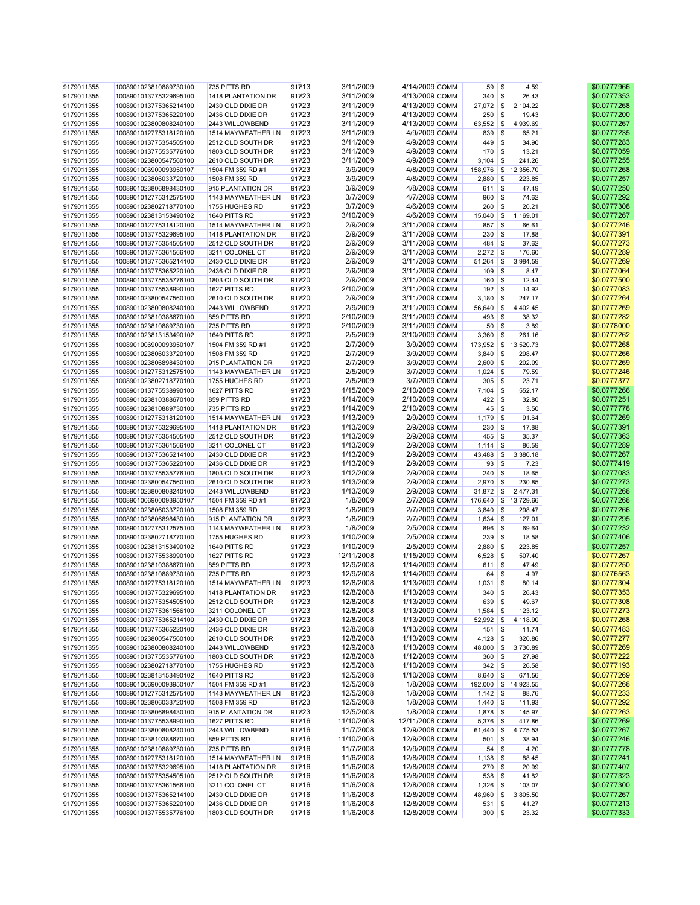| 9179011355 | 1008901023810889730100 | 735 PITTS RD       |       | 917/13 | 3/11/2009  | 4/14/2009 COMM  | $59 \mid$ \$                    | 4.59                     | \$0.0777966 |
|------------|------------------------|--------------------|-------|--------|------------|-----------------|---------------------------------|--------------------------|-------------|
| 9179011355 | 1008901013775329695100 | 1418 PLANTATION DR |       | 91723  | 3/11/2009  | 4/13/2009 COMM  | $340$ \$                        | 26.43                    | \$0.0777353 |
|            |                        |                    |       |        |            |                 |                                 |                          |             |
| 9179011355 | 1008901013775365214100 | 2430 OLD DIXIE DR  |       | 91723  | 3/11/2009  | 4/13/2009 COMM  | $27,072$ \$                     | 2,104.22                 | \$0.0777268 |
| 9179011355 | 1008901013775365220100 | 2436 OLD DIXIE DR  |       | 91723  | 3/11/2009  | 4/13/2009 COMM  | 250                             | \$<br>19.43              | \$0.0777200 |
| 9179011355 | 1008901023800808240100 | 2443 WILLOWBEND    |       | 91723  | 3/11/2009  | 4/13/2009 COMM  | 63,552                          | $\mathbb{S}$<br>4,939.69 | \$0.0777267 |
| 9179011355 | 1008901012775318120100 | 1514 MAYWEATHER LN |       | 91723  | 3/11/2009  | 4/9/2009 COMM   | 839                             | $\mathbb{S}$<br>65.21    | \$0.0777235 |
|            |                        |                    |       |        |            |                 |                                 |                          |             |
| 9179011355 | 1008901013775354505100 | 2512 OLD SOUTH DR  |       | 91723  | 3/11/2009  | 4/9/2009 COMM   | $449$ \$                        | 34.90                    | \$0.0777283 |
| 9179011355 | 1008901013775535776100 | 1803 OLD SOUTH DR  |       | 91723  | 3/11/2009  | 4/9/2009 COMM   | $170$ \$                        | 13.21                    | \$0.0777059 |
| 9179011355 | 1008901023800547560100 | 2610 OLD SOUTH DR  |       | 91723  | 3/11/2009  | 4/9/2009 COMM   | 3,104                           | l \$<br>241.26           | \$0.0777255 |
|            |                        |                    |       |        | 3/9/2009   |                 |                                 | 158,976 \$ 12,356.70     |             |
| 9179011355 | 1008901006900093950107 | 1504 FM 359 RD #1  |       | 91723  |            | 4/8/2009 COMM   |                                 |                          | \$0.0777268 |
| 9179011355 | 1008901023806033720100 | 1508 FM 359 RD     |       | 91723  | 3/9/2009   | 4/8/2009 COMM   | $2,880$ \$                      | 223.85                   | \$0.0777257 |
| 9179011355 | 1008901023806898430100 | 915 PLANTATION DR  |       | 91723  | 3/9/2009   | 4/8/2009 COMM   | $611$ \$                        | 47.49                    | \$0.0777250 |
| 9179011355 | 1008901012775312575100 | 1143 MAYWEATHER LN |       | 91723  | 3/7/2009   | 4/7/2009 COMM   | 960                             | \$<br>74.62              | \$0.0777292 |
|            |                        |                    |       |        |            |                 |                                 |                          |             |
| 9179011355 | 1008901023802718770100 | 1755 HUGHES RD     |       | 91723  | 3/7/2009   | 4/6/2009 COMM   | 260                             | \$<br>20.21              | \$0.0777308 |
| 9179011355 | 1008901023813153490102 | 1640 PITTS RD      |       | 91723  | 3/10/2009  | 4/6/2009 COMM   | 15,040                          | $\mathbb{S}$<br>1,169.01 | \$0.0777267 |
| 9179011355 | 1008901012775318120100 | 1514 MAYWEATHER LN | 91720 |        | 2/9/2009   | 3/11/2009 COMM  | 857                             | \$<br>66.61              | \$0.0777246 |
| 9179011355 | 1008901013775329695100 | 1418 PLANTATION DR |       | 91720  | 2/9/2009   | 3/11/2009 COMM  | 230                             | l \$<br>17.88            | \$0.0777391 |
|            |                        |                    |       |        |            |                 |                                 |                          |             |
| 9179011355 | 1008901013775354505100 | 2512 OLD SOUTH DR  |       | 91720  | 2/9/2009   | 3/11/2009 COMM  | $484$ \$                        | 37.62                    | \$0.0777273 |
| 9179011355 | 1008901013775361566100 | 3211 COLONEL CT    |       | 91720  | 2/9/2009   | 3/11/2009 COMM  | $2,272$ \$                      | 176.60                   | \$0.0777289 |
| 9179011355 | 1008901013775365214100 | 2430 OLD DIXIE DR  |       | 917/20 | 2/9/2009   | 3/11/2009 COMM  | 51,264                          | \$<br>3,984.59           | \$0.0777269 |
|            |                        |                    |       |        |            |                 |                                 |                          |             |
| 9179011355 | 1008901013775365220100 | 2436 OLD DIXIE DR  |       | 91720  | 2/9/2009   | 3/11/2009 COMM  | 109                             | $\mathbb{S}$<br>8.47     | \$0.0777064 |
| 9179011355 | 1008901013775535776100 | 1803 OLD SOUTH DR  |       | 91720  | 2/9/2009   | 3/11/2009 COMM  | $160$ \$                        | 12.44                    | \$0.0777500 |
| 9179011355 | 1008901013775538990100 | 1627 PITTS RD      |       | 91723  | 2/10/2009  | 3/11/2009 COMM  | $192$ \$                        | 14.92                    | \$0.0777083 |
| 9179011355 | 1008901023800547560100 | 2610 OLD SOUTH DR  |       | 91720  | 2/9/2009   | 3/11/2009 COMM  | 3,180                           | $\mathbb{S}$<br>247.17   | \$0.0777264 |
|            |                        |                    |       |        |            |                 |                                 |                          |             |
| 9179011355 | 1008901023800808240100 | 2443 WILLOWBEND    |       | 91720  | 2/9/2009   | 3/11/2009 COMM  | 56,640                          | $\mathbb{S}$<br>4,402.45 | \$0.0777269 |
| 9179011355 | 1008901023810388670100 | 859 PITTS RD       |       | 917/20 | 2/10/2009  | 3/11/2009 COMM  | $493$ \$                        | 38.32                    | \$0.0777282 |
| 9179011355 | 1008901023810889730100 | 735 PITTS RD       |       | 91720  | 2/10/2009  | 3/11/2009 COMM  | $50$ \$                         | 3.89                     | \$0.0778000 |
|            | 1008901023813153490102 |                    |       |        |            | 3/10/2009 COMM  |                                 |                          |             |
| 9179011355 |                        | 1640 PITTS RD      |       | 91720  | 2/5/2009   |                 | 3,360                           | l s<br>261.16            | \$0.0777262 |
| 9179011355 | 1008901006900093950107 | 1504 FM 359 RD #1  |       | 917/20 | 2/7/2009   | 3/9/2009 COMM   |                                 | 173,952 \$ 13,520.73     | \$0.0777268 |
| 9179011355 | 1008901023806033720100 | 1508 FM 359 RD     |       | 91720  | 2/7/2009   | 3/9/2009 COMM   | 3,840                           | l \$<br>298.47           | \$0.0777266 |
| 9179011355 | 1008901023806898430100 | 915 PLANTATION DR  |       | 91720  | 2/7/2009   | 3/9/2009 COMM   | $2,600$ \$                      | 202.09                   | \$0.0777269 |
|            |                        |                    |       |        |            |                 |                                 |                          |             |
| 9179011355 | 1008901012775312575100 | 1143 MAYWEATHER LN |       | 917/20 | 2/5/2009   | 3/7/2009 COMM   | $1,024$ \$                      | 79.59                    | \$0.0777246 |
| 9179011355 | 1008901023802718770100 | 1755 HUGHES RD     |       | 91720  | 2/5/2009   | 3/7/2009 COMM   | $305$ \$                        | 23.71                    | \$0.0777377 |
| 9179011355 | 1008901013775538990100 | 1627 PITTS RD      |       | 91723  | 1/15/2009  | 2/10/2009 COMM  | 7,104                           | l \$<br>552.17           | \$0.0777266 |
| 9179011355 | 1008901023810388670100 | 859 PITTS RD       |       | 91723  | 1/14/2009  | 2/10/2009 COMM  | $422$ \$                        | 32.80                    | \$0.0777251 |
|            |                        |                    |       |        |            |                 |                                 |                          |             |
| 9179011355 | 1008901023810889730100 | 735 PITTS RD       |       | 91723  | 1/14/2009  | 2/10/2009 COMM  | $45 \mid$ \$                    | 3.50                     | \$0.0777778 |
| 9179011355 | 1008901012775318120100 | 1514 MAYWEATHER LN |       | 91723  | 1/13/2009  | 2/9/2009 COMM   | $1,179$ \$                      | 91.64                    | \$0.0777269 |
| 9179011355 | 1008901013775329695100 | 1418 PLANTATION DR |       | 91723  | 1/13/2009  | 2/9/2009 COMM   | 230                             | \$<br>17.88              | \$0.0777391 |
|            |                        | 2512 OLD SOUTH DR  |       |        |            |                 |                                 |                          |             |
| 9179011355 | 1008901013775354505100 |                    |       | 91723  | 1/13/2009  | 2/9/2009 COMM   | 455                             | l \$<br>35.37            | \$0.0777363 |
| 9179011355 | 1008901013775361566100 | 3211 COLONEL CT    |       | 91723  | 1/13/2009  | 2/9/2009 COMM   | 1,114                           | \$<br>86.59              | \$0.0777289 |
| 9179011355 | 1008901013775365214100 | 2430 OLD DIXIE DR  |       | 91723  | 1/13/2009  | 2/9/2009 COMM   | 43,488                          | $\mathbb{S}$<br>3,380.18 | \$0.0777267 |
| 9179011355 | 1008901013775365220100 | 2436 OLD DIXIE DR  |       | 91723  | 1/13/2009  | 2/9/2009 COMM   | 93                              | l \$<br>7.23             | \$0.0777419 |
|            |                        |                    |       |        |            |                 |                                 |                          |             |
| 9179011355 | 1008901013775535776100 | 1803 OLD SOUTH DR  |       | 91723  | 1/12/2009  | 2/9/2009 COMM   | $240$ \$                        | 18.65                    | \$0.0777083 |
| 9179011355 | 1008901023800547560100 | 2610 OLD SOUTH DR  |       | 91723  | 1/13/2009  | 2/9/2009 COMM   | $2,970$ \$                      | 230.85                   | \$0.0777273 |
| 9179011355 | 1008901023800808240100 | 2443 WILLOWBEND    |       | 91723  | 1/13/2009  | 2/9/2009 COMM   | $31,872$ \$                     | 2,477.31                 | \$0.0777268 |
|            |                        |                    |       | 91723  | 1/8/2009   | 2/7/2009 COMM   |                                 |                          | \$0.0777268 |
| 9179011355 | 1008901006900093950107 | 1504 FM 359 RD #1  |       |        |            |                 |                                 | 176,640 \$ 13,729.66     |             |
| 9179011355 | 1008901023806033720100 | 1508 FM 359 RD     |       | 91723  | 1/8/2009   | 2/7/2009 COMM   | $3,840$ \$                      | 298.47                   | \$0.0777266 |
| 9179011355 | 1008901023806898430100 | 915 PLANTATION DR  |       | 91723  | 1/8/2009   | 2/7/2009 COMM   | 1,634                           | l \$<br>127.01           | \$0.0777295 |
| 9179011355 | 1008901012775312575100 | 1143 MAYWEATHER LN |       | 91723  | 1/8/2009   | 2/5/2009 COMM   | 896                             | l \$<br>69.64            | \$0.0777232 |
|            |                        |                    |       |        | 1/10/2009  |                 |                                 |                          |             |
| 9179011355 | 1008901023802718770100 | 1755 HUGHES RD     |       | 91723  |            | 2/5/2009 COMM   | 239                             | \$<br>18.58              | \$0.0777406 |
| 9179011355 | 1008901023813153490102 | 1640 PITTS RD      |       | 91723  | 1/10/2009  | 2/5/2009 COMM   | 2,880                           | \$<br>223.85             | \$0.0777257 |
| 9179011355 | 1008901013775538990100 | 1627 PITTS RD      |       | 91723  | 12/11/2008 | 1/15/2009 COMM  | $6,528$ \$                      | 507.40                   | \$0.0777267 |
| 9179011355 | 1008901023810388670100 | 859 PITTS RD       |       | 91723  | 12/9/2008  | 1/14/2009 COMM  | 611                             | l \$<br>47.49            | \$0.0777250 |
|            |                        |                    |       |        |            |                 |                                 |                          |             |
| 9179011355 | 1008901023810889730100 | 735 PITTS RD       |       | 91723  | 12/9/2008  | 1/14/2009 COMM  | 64                              | \$<br>4.97               | \$0.0776563 |
| 9179011355 | 1008901012775318120100 | 1514 MAYWEATHER LN | 91723 |        | 12/8/2008  | 1/13/2009 COMM  | $1,031$ \$                      | 80.14                    | \$0.0777304 |
| 9179011355 | 1008901013775329695100 | 1418 PLANTATION DR |       | 91723  | 12/8/2008  | 1/13/2009 COMM  | $340$ \$                        | 26.43                    | \$0.0777353 |
| 9179011355 | 1008901013775354505100 | 2512 OLD SOUTH DR  |       | 91723  | 12/8/2008  | 1/13/2009 COMM  | 639 \$                          | 49.67                    | \$0.0777308 |
|            |                        |                    |       |        |            |                 |                                 |                          |             |
| 9179011355 | 1008901013775361566100 | 3211 COLONEL CT    |       | 91723  | 12/8/2008  | 1/13/2009 COMM  | $1,584$ \$                      | 123.12                   | \$0.0777273 |
| 9179011355 | 1008901013775365214100 | 2430 OLD DIXIE DR  |       | 91723  | 12/8/2008  | 1/13/2009 COMM  | 52,992                          | $\mathbb{S}$<br>4,118.90 | \$0.0777268 |
| 9179011355 | 1008901013775365220100 | 2436 OLD DIXIE DR  |       | 91723  | 12/8/2008  | 1/13/2009 COMM  | 151S                            | 11.74                    | \$0.0777483 |
| 9179011355 | 1008901023800547560100 | 2610 OLD SOUTH DR  |       | 91723  | 12/8/2008  | 1/13/2009 COMM  | $4,128$ \$                      | 320.86                   | \$0.0777277 |
|            |                        |                    |       |        |            |                 |                                 |                          |             |
| 9179011355 | 1008901023800808240100 | 2443 WILLOWBEND    |       | 91723  | 12/9/2008  | 1/13/2009 COMM  | $48,000$ \$                     | 3,730.89                 | \$0.0777269 |
| 9179011355 | 1008901013775535776100 | 1803 OLD SOUTH DR  |       | 91723  | 12/8/2008  | 1/12/2009 COMM  | 360                             | \$<br>27.98              | \$0.0777222 |
| 9179011355 | 1008901023802718770100 | 1755 HUGHES RD     |       | 91723  | 12/5/2008  | 1/10/2009 COMM  | $342 \overline{\smash{\big)}\}$ | 26.58                    | \$0.0777193 |
| 9179011355 | 1008901023813153490102 | 1640 PITTS RD      |       | 91723  | 12/5/2008  | 1/10/2009 COMM  | 8,640                           | \$<br>671.56             | \$0.0777269 |
|            |                        |                    |       |        |            |                 |                                 |                          |             |
| 9179011355 | 1008901006900093950107 | 1504 FM 359 RD #1  |       | 91723  | 12/5/2008  | 1/8/2009 COMM   |                                 | 192,000 \$ 14,923.55     | \$0.0777268 |
| 9179011355 | 1008901012775312575100 | 1143 MAYWEATHER LN |       | 91723  | 12/5/2008  | 1/8/2009 COMM   | $1,142$ \$                      | 88.76                    | \$0.0777233 |
| 9179011355 | 1008901023806033720100 | 1508 FM 359 RD     |       | 91723  | 12/5/2008  | 1/8/2009 COMM   | $1,440$ \$                      | 111.93                   | \$0.0777292 |
| 9179011355 | 1008901023806898430100 | 915 PLANTATION DR  |       | 91723  | 12/5/2008  | 1/8/2009 COMM   | $1,878$ \$                      | 145.97                   | \$0.0777263 |
|            |                        |                    |       |        |            |                 |                                 |                          |             |
| 9179011355 | 1008901013775538990100 | 1627 PITTS RD      |       | 917/16 | 11/10/2008 | 12/11/2008 COMM | $5,376$ \$                      | 417.86                   | \$0.0777269 |
| 9179011355 | 1008901023800808240100 | 2443 WILLOWBEND    |       | 917/16 | 11/7/2008  | 12/9/2008 COMM  | 61,440                          | \$<br>4,775.53           | \$0.0777267 |
| 9179011355 | 1008901023810388670100 | 859 PITTS RD       |       | 917/16 | 11/10/2008 | 12/9/2008 COMM  | 501                             | \$<br>38.94              | \$0.0777246 |
|            |                        |                    |       |        |            |                 |                                 |                          |             |
| 9179011355 | 1008901023810889730100 | 735 PITTS RD       |       | 917/16 | 11/7/2008  | 12/9/2008 COMM  | 54                              | l s<br>4.20              | \$0.0777778 |
| 9179011355 | 1008901012775318120100 | 1514 MAYWEATHER LN |       | 917/16 | 11/6/2008  | 12/8/2008 COMM  | $1,138$ \$                      | 88.45                    | \$0.0777241 |
| 9179011355 | 1008901013775329695100 | 1418 PLANTATION DR |       | 917/16 | 11/6/2008  | 12/8/2008 COMM  | 270                             | \$<br>20.99              | \$0.0777407 |
| 9179011355 | 1008901013775354505100 | 2512 OLD SOUTH DR  |       | 917/16 | 11/6/2008  | 12/8/2008 COMM  | 538 \$                          | 41.82                    | \$0.0777323 |
|            |                        |                    |       |        |            |                 |                                 |                          |             |
| 9179011355 | 1008901013775361566100 | 3211 COLONEL CT    |       | 917/16 | 11/6/2008  | 12/8/2008 COMM  | 1,326                           | \$<br>103.07             | \$0.0777300 |
| 9179011355 | 1008901013775365214100 | 2430 OLD DIXIE DR  |       | 917/16 | 11/6/2008  | 12/8/2008 COMM  | 48,960                          | \$<br>3,805.50           | \$0.0777267 |
| 9179011355 | 1008901013775365220100 | 2436 OLD DIXIE DR  |       | 917/16 | 11/6/2008  | 12/8/2008 COMM  | 531S                            | 41.27                    | \$0.0777213 |
| 9179011355 | 1008901013775535776100 | 1803 OLD SOUTH DR  |       | 917/16 | 11/6/2008  | 12/8/2008 COMM  | $300$ \$                        | 23.32                    | \$0.0777333 |
|            |                        |                    |       |        |            |                 |                                 |                          |             |